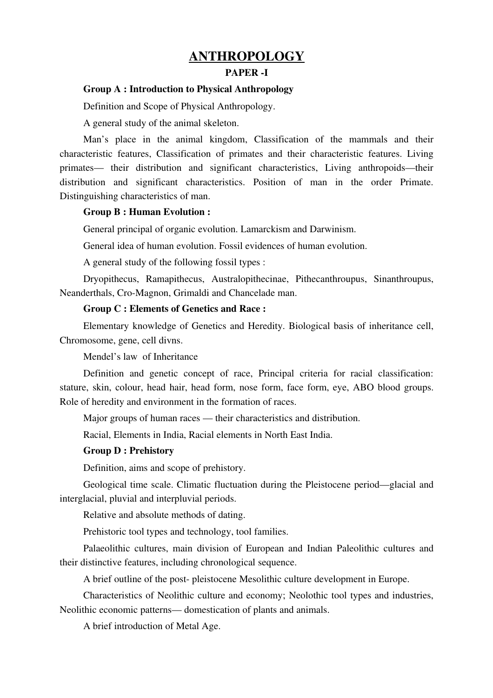# **ANTHROPOLOGY**

## PAPER -I

# Group A : Introduction to Physical Anthropology

Definition and Scope of Physical Anthropology.

A general study of the animal skeleton.

Man's place in the animal kingdom, Classification of the mammals and their characteristic features, Classification of primates and their characteristic features. Living primates— their distribution and significant characteristics, Living anthropoids—their distribution and significant characteristics. Position of man in the order Primate. Distinguishing characteristics of man.

## Group B : Human Evolution :

General principal of organic evolution. Lamarckism and Darwinism.

General idea of human evolution. Fossil evidences of human evolution.

A general study of the following fossil types :

Dryopithecus, Ramapithecus, Australopithecinae, Pithecanthroupus, Sinanthroupus, Neanderthals, Cro-Magnon, Grimaldi and Chancelade man.

## Group C : Elements of Genetics and Race :

Elementary knowledge of Genetics and Heredity. Biological basis of inheritance cell, Chromosome, gene, cell divns.

Mendel's law of Inheritance

Definition and genetic concept of race, Principal criteria for racial classification: stature, skin, colour, head hair, head form, nose form, face form, eye, ABO blood groups. Role of heredity and environment in the formation of races.

Major groups of human races — their characteristics and distribution.

Racial, Elements in India, Racial elements in North East India.

## Group D : Prehistory

Definition, aims and scope of prehistory.

Geological time scale. Climatic fluctuation during the Pleistocene period—glacial and interglacial, pluvial and interpluvial periods.

Relative and absolute methods of dating.

Prehistoric tool types and technology, tool families.

Palaeolithic cultures, main division of European and Indian Paleolithic cultures and their distinctive features, including chronological sequence.

A brief outline of the post pleistocene Mesolithic culture development in Europe.

Characteristics of Neolithic culture and economy; Neolothic tool types and industries, Neolithic economic patterns— domestication of plants and animals.

A brief introduction of Metal Age.